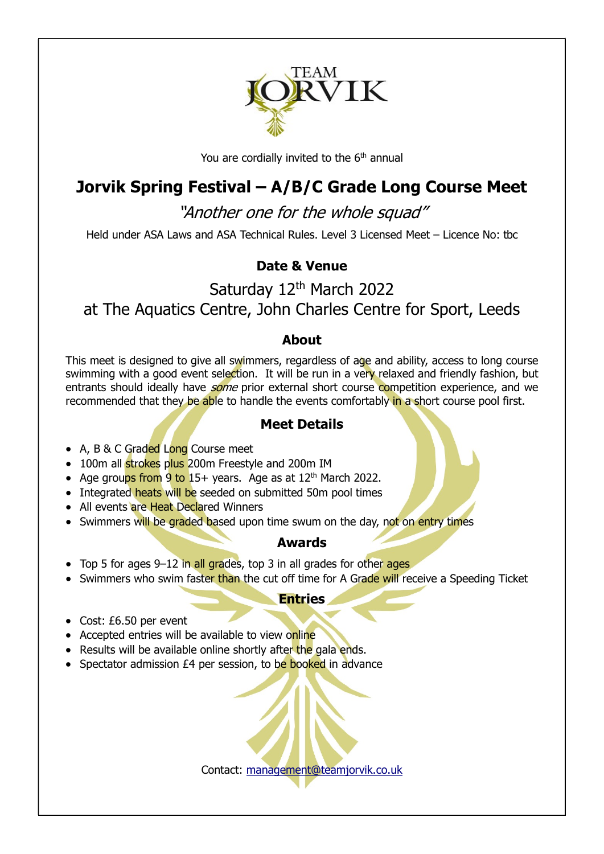

You are cordially invited to the  $6<sup>th</sup>$  annual

# Jorvik Spring Festival – A/B/C Grade Long Course Meet

"Another one for the whole squad"

Held under ASA Laws and ASA Technical Rules. Level 3 Licensed Meet – Licence No: tbc

## Date & Venue

Saturday 12<sup>th</sup> March 2022 at The Aquatics Centre, John Charles Centre for Sport, Leeds

#### About

This meet is designed to give all swimmers, regardless of age and ability, access to long course swimming with a good event selection. It will be run in a very relaxed and friendly fashion, but entrants should ideally have *some* prior external short course competition experience, and we recommended that they be able to handle the events comfortably in a short course pool first.

### Meet Details

- A, B & C Graded Long Course meet
- 100m all strokes plus 200m Freestyle and 200m IM
- Age groups from 9 to 15+ years. Age as at  $12<sup>th</sup>$  March 2022.
- Integrated heats will be seeded on submitted 50m pool times
- All events are Heat Declared Winners
- Swimmers will be graded based upon time swum on the day, not on entry times

### Awards

- Top 5 for ages 9-12 in all grades, top 3 in all grades for other ages
- Swimmers who swim faster than the cut off time for A Grade will receive a Speeding Ticket

#### **Entries**

- Cost: £6.50 per event
- Accepted entries will be available to view online
- Results will be available online shortly after the gala ends.
- Spectator admission £4 per session, to be booked in advance

Contact: management@teamjorvik.co.uk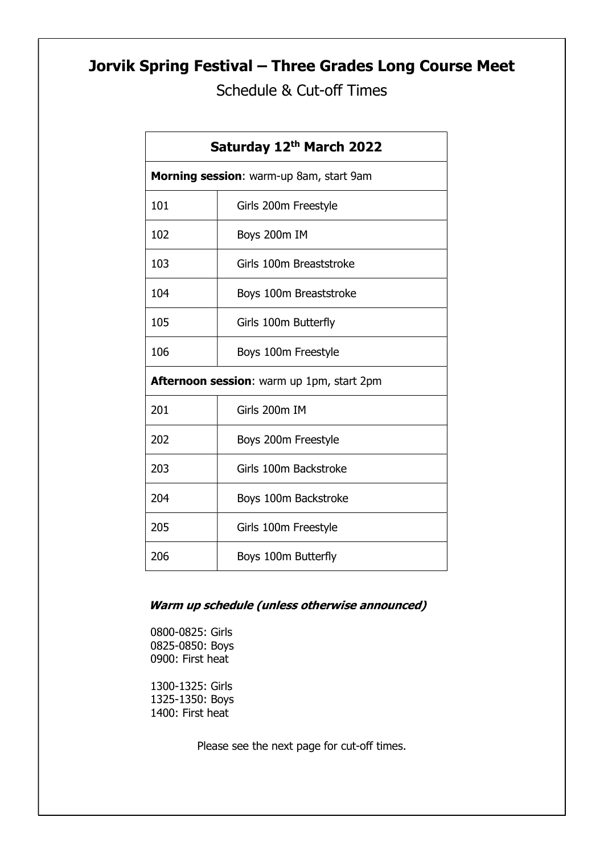# Jorvik Spring Festival – Three Grades Long Course Meet

Schedule & Cut-off Times

| Saturday 12th March 2022                  |                         |  |  |  |  |
|-------------------------------------------|-------------------------|--|--|--|--|
| Morning session: warm-up 8am, start 9am   |                         |  |  |  |  |
| 101                                       | Girls 200m Freestyle    |  |  |  |  |
| 102                                       | Boys 200m IM            |  |  |  |  |
| 103                                       | Girls 100m Breaststroke |  |  |  |  |
| 104                                       | Boys 100m Breaststroke  |  |  |  |  |
| 105                                       | Girls 100m Butterfly    |  |  |  |  |
| 106                                       | Boys 100m Freestyle     |  |  |  |  |
| Afternoon session: warm up 1pm, start 2pm |                         |  |  |  |  |
| 201                                       | Girls 200m IM           |  |  |  |  |
| 202                                       | Boys 200m Freestyle     |  |  |  |  |
| 203                                       | Girls 100m Backstroke   |  |  |  |  |
| 204                                       | Boys 100m Backstroke    |  |  |  |  |
| 205                                       | Girls 100m Freestyle    |  |  |  |  |
| 206                                       | Boys 100m Butterfly     |  |  |  |  |

#### Warm up schedule (unless otherwise announced)

0800-0825: Girls 0825-0850: Boys 0900: First heat

1300-1325: Girls 1325-1350: Boys 1400: First heat

Please see the next page for cut-off times.